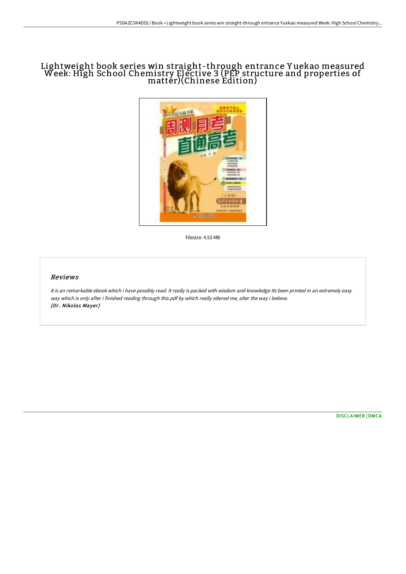## Lightweight book series win straight-through entrance Y uekao measured Week: High School Chemistry Elective 3 (PEP structure and properties of matter)(Chinese Edition)



Filesize: 4.53 MB

## Reviews

It is an remarkable ebook which i have possibly read. It really is packed with wisdom and knowledge Its been printed in an extremely easy way which is only after i finished reading through this pdf by which really altered me, alter the way i believe. (Dr. Nikolas Mayer)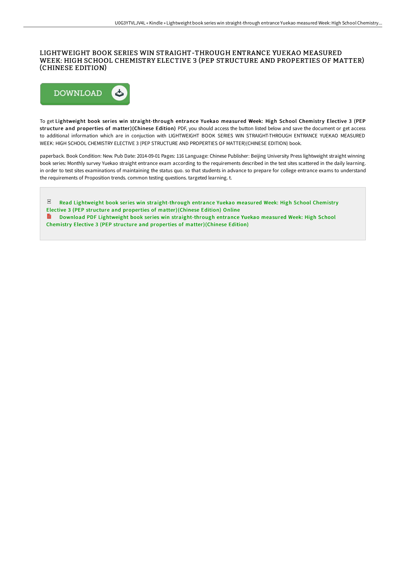## LIGHTWEIGHT BOOK SERIES WIN STRAIGHT-THROUGH ENTRANCE YUEKAO MEASURED WEEK: HIGH SCHOOL CHEMISTRY ELECTIVE 3 (PEP STRUCTURE AND PROPERTIES OF MATTER) (CHINESE EDITION)



To get Lightweight book series win straight-through entrance Yuekao measured Week: High School Chemistry Elective 3 (PEP structure and properties of matter)(Chinese Edition) PDF, you should access the button listed below and save the document or get access to additional information which are in conjuction with LIGHTWEIGHT BOOK SERIES WIN STRAIGHT-THROUGH ENTRANCE YUEKAO MEASURED WEEK: HIGH SCHOOL CHEMISTRY ELECTIVE 3 (PEP STRUCTURE AND PROPERTIES OF MATTER)(CHINESE EDITION) book.

paperback. Book Condition: New. Pub Date: 2014-09-01 Pages: 116 Language: Chinese Publisher: Beijing University Press lightweight straight winning book series: Monthly survey Yuekao straight entrance exam according to the requirements described in the test sites scattered in the daily learning. in order to test sites examinations of maintaining the status quo. so that students in advance to prepare for college entrance exams to understand the requirements of Proposition trends. common testing questions. targeted learning. t.

짣 Read Lightweight book series win [straight-through](http://www.bookdirs.com/lightweight-book-series-win-straight-through-ent-4.html) entrance Yuekao measured Week: High School Chemistry Elective 3 (PEP structure and properties of matter)(Chinese Edition) Online B Download PDF Lightweight book series win [straight-through](http://www.bookdirs.com/lightweight-book-series-win-straight-through-ent-4.html) entrance Yuekao measured Week: High School

Chemistry Elective 3 (PEP structure and properties of matter)(Chinese Edition)